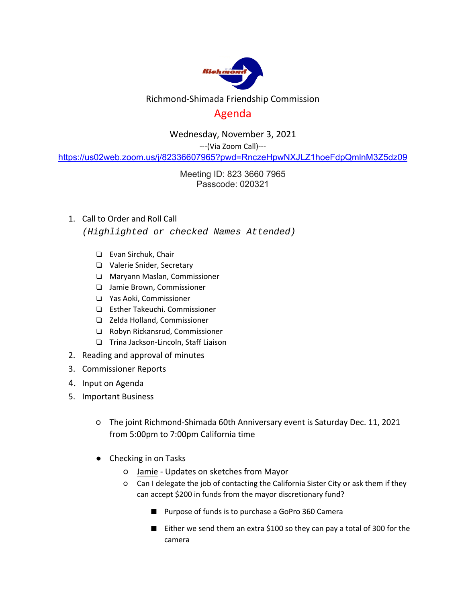

## Richmond‐Shimada Friendship Commission

## Agenda

Wednesday, November 3, 2021

‐‐‐(Via Zoom Call)‐‐‐

https://us02web.zoom.us/j/82336607965?pwd=RnczeHpwNXJLZ1hoeFdpQmlnM3Z5dz09

Meeting ID: 823 3660 7965 Passcode: 020321

1. Call to Order and Roll Call

*(Highlighted or checked Names Attended)* 

- ❏ Evan Sirchuk, Chair
- ❏ Valerie Snider, Secretary
- ❏ Maryann Maslan, Commissioner
- ❏ Jamie Brown, Commissioner
- ❏ Yas Aoki, Commissioner
- ❏ Esther Takeuchi. Commissioner
- ❏ Zelda Holland, Commissioner
- ❏ Robyn Rickansrud, Commissioner
- ❏ Trina Jackson‐Lincoln, Staff Liaison
- 2. Reading and approval of minutes
- 3. Commissioner Reports
- 4. Input on Agenda
- 5. Important Business
	- The joint Richmond‐Shimada 60th Anniversary event is Saturday Dec. 11, 2021 from 5:00pm to 7:00pm California time
	- Checking in on Tasks
		- Jamie ‐ Updates on sketches from Mayor
		- Can I delegate the job of contacting the California Sister City or ask them if they can accept \$200 in funds from the mayor discretionary fund?
			- Purpose of funds is to purchase a GoPro 360 Camera
			- Either we send them an extra \$100 so they can pay a total of 300 for the camera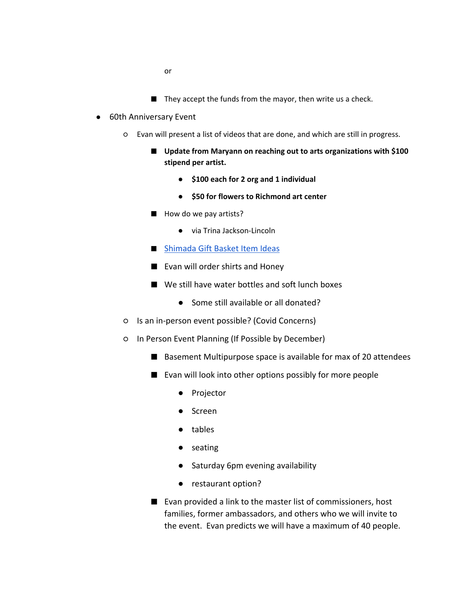- or
- They accept the funds from the mayor, then write us a check.
- 60th Anniversary Event
	- Evan will present a list of videos that are done, and which are still in progress.
		- Update from Maryann on reaching out to arts organizations with \$100 **stipend per artist.** 
			- **\$100 each for 2 org and 1 individual**
			- **\$50 for flowers to Richmond art center**
		- How do we pay artists?
			- via Trina Jackson-Lincoln
		- Shimada Gift Basket Item Ideas
		- Evan will order shirts and Honey
		- We still have water bottles and soft lunch boxes
			- Some still available or all donated?
	- Is an in‐person event possible? (Covid Concerns)
	- In Person Event Planning (If Possible by December)
		- Basement Multipurpose space is available for max of 20 attendees
		- Evan will look into other options possibly for more people
			- Projector
			- Screen
			- tables
			- seating
			- Saturday 6pm evening availability
			- restaurant option?
		- Evan provided a link to the master list of commissioners, host families, former ambassadors, and others who we will invite to the event. Evan predicts we will have a maximum of 40 people.